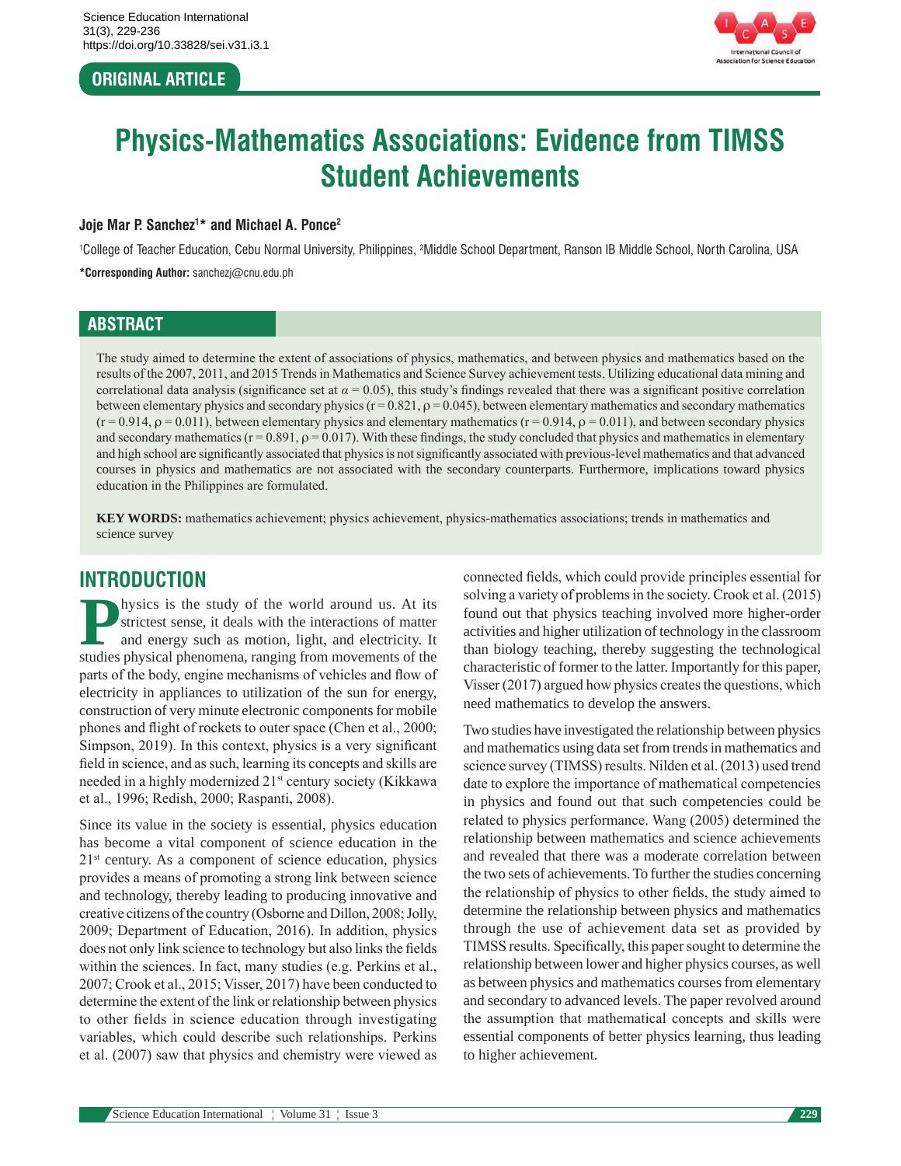## **ORIGINAL ARTICLE**



# **Physics-Mathematics Associations: Evidence from TIMSS Student Achievements**

#### **Joje Mar P. Sanchez1 \* and Michael A. Ponce2**

<sup>1</sup>College of Teacher Education, Cebu Normal University, Philippines, <sup>2</sup>Middle School Department, Ranson IB Middle School, North Carolina, USA **\*Corresponding Author:** sanchezj@cnu.edu.ph

#### **ABSTRACT**

The study aimed to determine the extent of associations of physics, mathematics, and between physics and mathematics based on the results of the 2007, 2011, and 2015 Trends in Mathematics and Science Survey achievement tests. Utilizing educational data mining and correlational data analysis (significance set at  $\alpha = 0.05$ ), this study's findings revealed that there was a significant positive correlation between elementary physics and secondary physics  $(r = 0.821, \rho = 0.045)$ , between elementary mathematics and secondary mathematics  $(r = 0.914, \rho = 0.011)$ , between elementary physics and elementary mathematics  $(r = 0.914, \rho = 0.011)$ , and between secondary physics and secondary mathematics ( $r = 0.891$ ,  $\rho = 0.017$ ). With these findings, the study concluded that physics and mathematics in elementary and high school are significantly associated that physics is not significantly associated with previous-level mathematics and that advanced courses in physics and mathematics are not associated with the secondary counterparts. Furthermore, implications toward physics education in the Philippines are formulated.

**KEY WORDS:** mathematics achievement; physics achievement, physics-mathematics associations; trends in mathematics and science survey

## **INTRODUCTION**

**Physics is the study of the world around us. At its strictest sense, it deals with the interactions of matter and energy such as motion, light, and electricity. It studies physical phenomena ranging from movements of the** strictest sense, it deals with the interactions of matter and energy such as motion, light, and electricity. It studies physical phenomena, ranging from movements of the parts of the body, engine mechanisms of vehicles and flow of electricity in appliances to utilization of the sun for energy, construction of very minute electronic components for mobile phones and flight of rockets to outer space (Chen et al., 2000; Simpson, 2019). In this context, physics is a very significant field in science, and as such, learning its concepts and skills are needed in a highly modernized 21<sup>st</sup> century society (Kikkawa et al., 1996; Redish, 2000; Raspanti, 2008).

Since its value in the society is essential, physics education has become a vital component of science education in the  $21<sup>st</sup>$  century. As a component of science education, physics provides a means of promoting a strong link between science and technology, thereby leading to producing innovative and creative citizens of the country (Osborne and Dillon, 2008; Jolly, 2009; Department of Education, 2016). In addition, physics does not only link science to technology but also links the fields within the sciences. In fact, many studies (e.g. Perkins et al., 2007; Crook et al., 2015; Visser, 2017) have been conducted to determine the extent of the link or relationship between physics to other fields in science education through investigating variables, which could describe such relationships. Perkins et al. (2007) saw that physics and chemistry were viewed as connected fields, which could provide principles essential for solving a variety of problems in the society. Crook et al. (2015) found out that physics teaching involved more higher-order activities and higher utilization of technology in the classroom than biology teaching, thereby suggesting the technological characteristic of former to the latter. Importantly for this paper, Visser (2017) argued how physics creates the questions, which need mathematics to develop the answers.

Two studies have investigated the relationship between physics and mathematics using data set from trends in mathematics and science survey (TIMSS) results. Nilden et al. (2013) used trend date to explore the importance of mathematical competencies in physics and found out that such competencies could be related to physics performance. Wang (2005) determined the relationship between mathematics and science achievements and revealed that there was a moderate correlation between the two sets of achievements. To further the studies concerning the relationship of physics to other fields, the study aimed to determine the relationship between physics and mathematics through the use of achievement data set as provided by TIMSS results. Specifically, this paper sought to determine the relationship between lower and higher physics courses, as well as between physics and mathematics courses from elementary and secondary to advanced levels. The paper revolved around the assumption that mathematical concepts and skills were essential components of better physics learning, thus leading to higher achievement.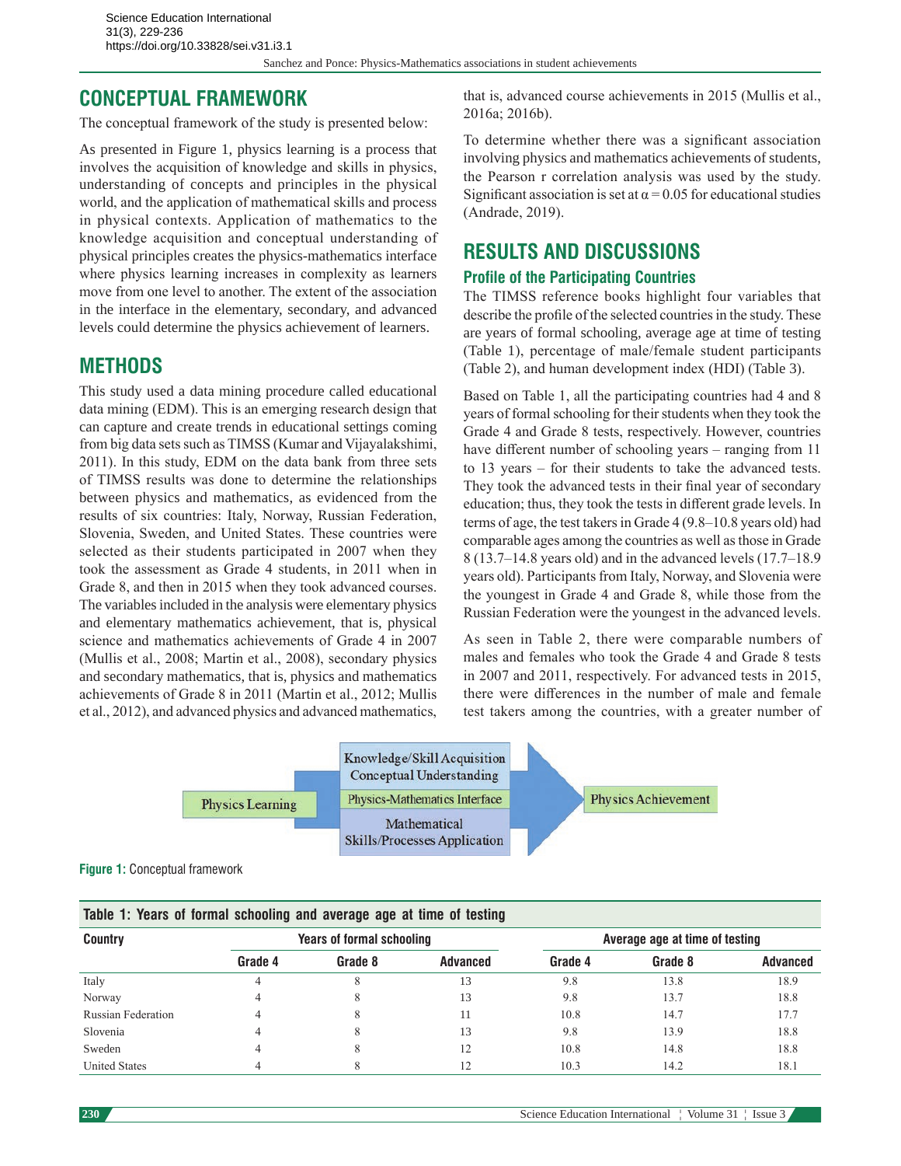Sanchez and Ponce: Physics-Mathematics associations in student achievements

# **CONCEPTUAL FRAMEWORK**

The conceptual framework of the study is presented below:

As presented in Figure 1, physics learning is a process that involves the acquisition of knowledge and skills in physics, understanding of concepts and principles in the physical world, and the application of mathematical skills and process in physical contexts. Application of mathematics to the knowledge acquisition and conceptual understanding of physical principles creates the physics-mathematics interface where physics learning increases in complexity as learners move from one level to another. The extent of the association in the interface in the elementary, secondary, and advanced levels could determine the physics achievement of learners.

# **METHODS**

This study used a data mining procedure called educational data mining (EDM). This is an emerging research design that can capture and create trends in educational settings coming from big data sets such as TIMSS (Kumar and Vijayalakshimi, 2011). In this study, EDM on the data bank from three sets of TIMSS results was done to determine the relationships between physics and mathematics, as evidenced from the results of six countries: Italy, Norway, Russian Federation, Slovenia, Sweden, and United States. These countries were selected as their students participated in 2007 when they took the assessment as Grade 4 students, in 2011 when in Grade 8, and then in 2015 when they took advanced courses. The variables included in the analysis were elementary physics and elementary mathematics achievement, that is, physical science and mathematics achievements of Grade 4 in 2007 (Mullis et al., 2008; Martin et al., 2008), secondary physics and secondary mathematics, that is, physics and mathematics achievements of Grade 8 in 2011 (Martin et al., 2012; Mullis et al., 2012), and advanced physics and advanced mathematics, that is, advanced course achievements in 2015 (Mullis et al., 2016a; 2016b).

To determine whether there was a significant association involving physics and mathematics achievements of students, the Pearson r correlation analysis was used by the study. Significant association is set at  $\alpha$  = 0.05 for educational studies (Andrade, 2019).

# **RESULTS AND DISCUSSIONS**

#### **Profile of the Participating Countries**

The TIMSS reference books highlight four variables that describe the profile of the selected countries in the study. These are years of formal schooling, average age at time of testing (Table 1), percentage of male/female student participants (Table 2), and human development index (HDI) (Table 3).

Based on Table 1, all the participating countries had 4 and 8 years of formal schooling for their students when they took the Grade 4 and Grade 8 tests, respectively. However, countries have different number of schooling years – ranging from 11 to 13 years – for their students to take the advanced tests. They took the advanced tests in their final year of secondary education; thus, they took the tests in different grade levels. In terms of age, the test takers in Grade 4 (9.8–10.8 years old) had comparable ages among the countries as well as those in Grade 8 (13.7–14.8 years old) and in the advanced levels (17.7–18.9 years old). Participants from Italy, Norway, and Slovenia were the youngest in Grade 4 and Grade 8, while those from the Russian Federation were the youngest in the advanced levels.

As seen in Table 2, there were comparable numbers of males and females who took the Grade 4 and Grade 8 tests in 2007 and 2011, respectively. For advanced tests in 2015, there were differences in the number of male and female test takers among the countries, with a greater number of



**Figure 1:** Conceptual framework

| Table 1: Years of formal schooling and average age at time of testing |                                  |         |          |                                |         |                 |  |  |  |
|-----------------------------------------------------------------------|----------------------------------|---------|----------|--------------------------------|---------|-----------------|--|--|--|
| <b>Country</b>                                                        | <b>Years of formal schooling</b> |         |          | Average age at time of testing |         |                 |  |  |  |
|                                                                       | Grade 4                          | Grade 8 | Advanced | Grade 4                        | Grade 8 | <b>Advanced</b> |  |  |  |
| Italy                                                                 |                                  | 8       | 13       | 9.8                            | 13.8    | 18.9            |  |  |  |
| Norway                                                                |                                  | δ       | 13       | 9.8                            | 13.7    | 18.8            |  |  |  |
| Russian Federation                                                    |                                  | 8       |          | 10.8                           | 14.7    | 17.7            |  |  |  |
| Slovenia                                                              |                                  |         | 13       | 9.8                            | 13.9    | 18.8            |  |  |  |
| Sweden                                                                |                                  |         |          | 10.8                           | 14.8    | 18.8            |  |  |  |
| <b>United States</b>                                                  |                                  |         |          | 10.3                           | 14.2    | 18.1            |  |  |  |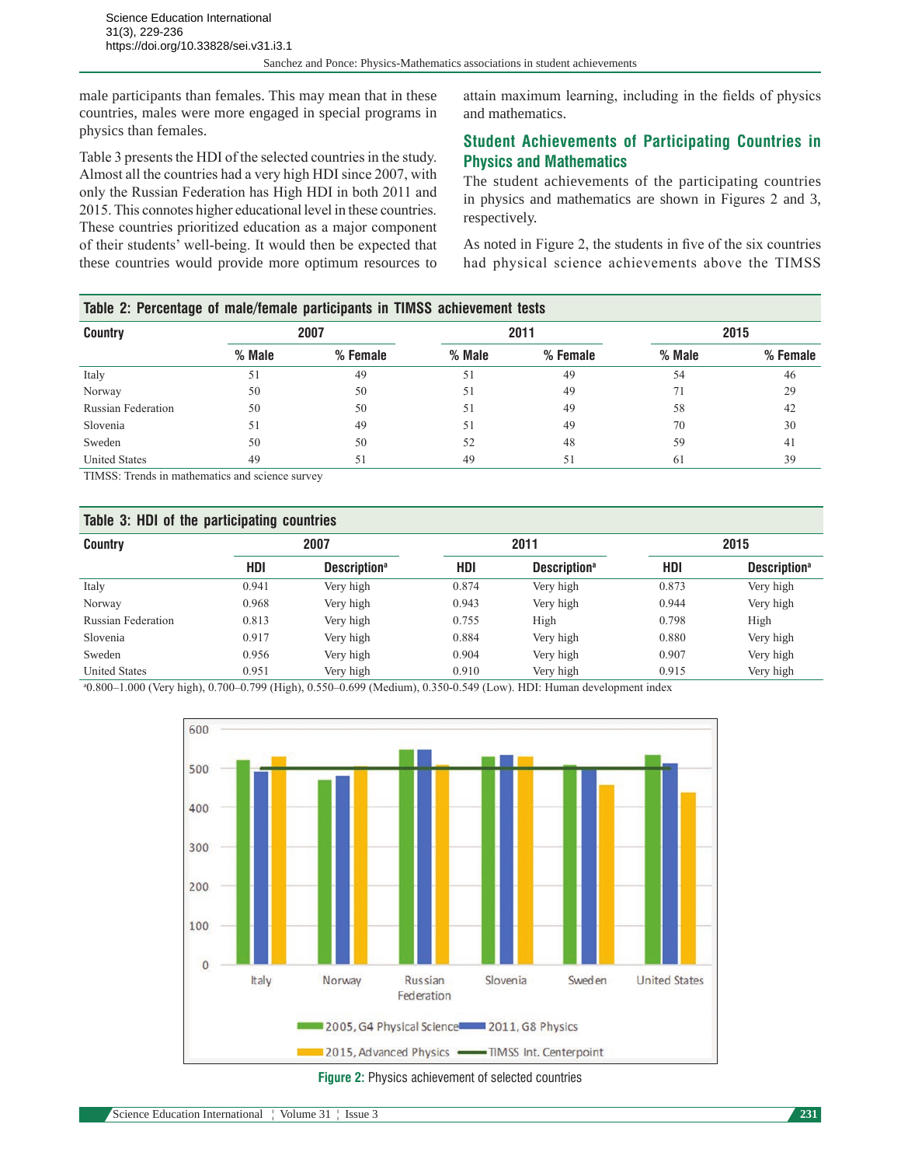male participants than females. This may mean that in these countries, males were more engaged in special programs in physics than females.

Table 3 presents the HDI of the selected countries in the study. Almost all the countries had a very high HDI since 2007, with only the Russian Federation has High HDI in both 2011 and 2015. This connotes higher educational level in these countries. These countries prioritized education as a major component of their students' well-being. It would then be expected that these countries would provide more optimum resources to attain maximum learning, including in the fields of physics and mathematics.

### **Student Achievements of Participating Countries in Physics and Mathematics**

The student achievements of the participating countries in physics and mathematics are shown in Figures 2 and 3, respectively.

As noted in Figure 2, the students in five of the six countries had physical science achievements above the TIMSS

| Table 2: Percentage of male/female participants in TIMSS achievement tests |          |          |          |          |        |          |  |  |
|----------------------------------------------------------------------------|----------|----------|----------|----------|--------|----------|--|--|
| <b>Country</b>                                                             | 2007     |          | 2011     |          | 2015   |          |  |  |
|                                                                            | $%$ Male | % Female | $%$ Male | % Female | % Male | % Female |  |  |
| Italy                                                                      | 51       | 49       | 51       | 49       | 54     | 46       |  |  |
| Norway                                                                     | 50       | 50       | 51       | 49       | 71     | 29       |  |  |
| Russian Federation                                                         | 50       | 50       | 51       | 49       | 58     | 42       |  |  |
| Slovenia                                                                   | 51       | 49       | 51       | 49       | 70     | 30       |  |  |
| Sweden                                                                     | 50       | 50       | 52       | 48       | 59     | 41       |  |  |
| <b>United States</b>                                                       | 49       | 51       | 49       | 51       | 61     | 39       |  |  |

TIMSS: Trends in mathematics and science survey

#### **Table 3: HDI of the participating countries**

| <b>Country</b>            | 2007  |                                 | 2011  |                                 | 2015  |                                 |
|---------------------------|-------|---------------------------------|-------|---------------------------------|-------|---------------------------------|
|                           | HDI   | <b>Description</b> <sup>a</sup> | HDI   | <b>Description</b> <sup>a</sup> | HDI   | <b>Description</b> <sup>a</sup> |
| Italy                     | 0.941 | Very high                       | 0.874 | Very high                       | 0.873 | Very high                       |
| Norway                    | 0.968 | Very high                       | 0.943 | Very high                       | 0.944 | Very high                       |
| <b>Russian Federation</b> | 0.813 | Very high                       | 0.755 | High                            | 0.798 | High                            |
| Slovenia                  | 0.917 | Very high                       | 0.884 | Very high                       | 0.880 | Very high                       |
| Sweden                    | 0.956 | Very high                       | 0.904 | Very high                       | 0.907 | Very high                       |
| <b>United States</b>      | 0.951 | Very high                       | 0.910 | Very high                       | 0.915 | Very high                       |

a 0.800–1.000 (Very high), 0.700–0.799 (High), 0.550–0.699 (Medium), 0.350-0.549 (Low). HDI: Human development index



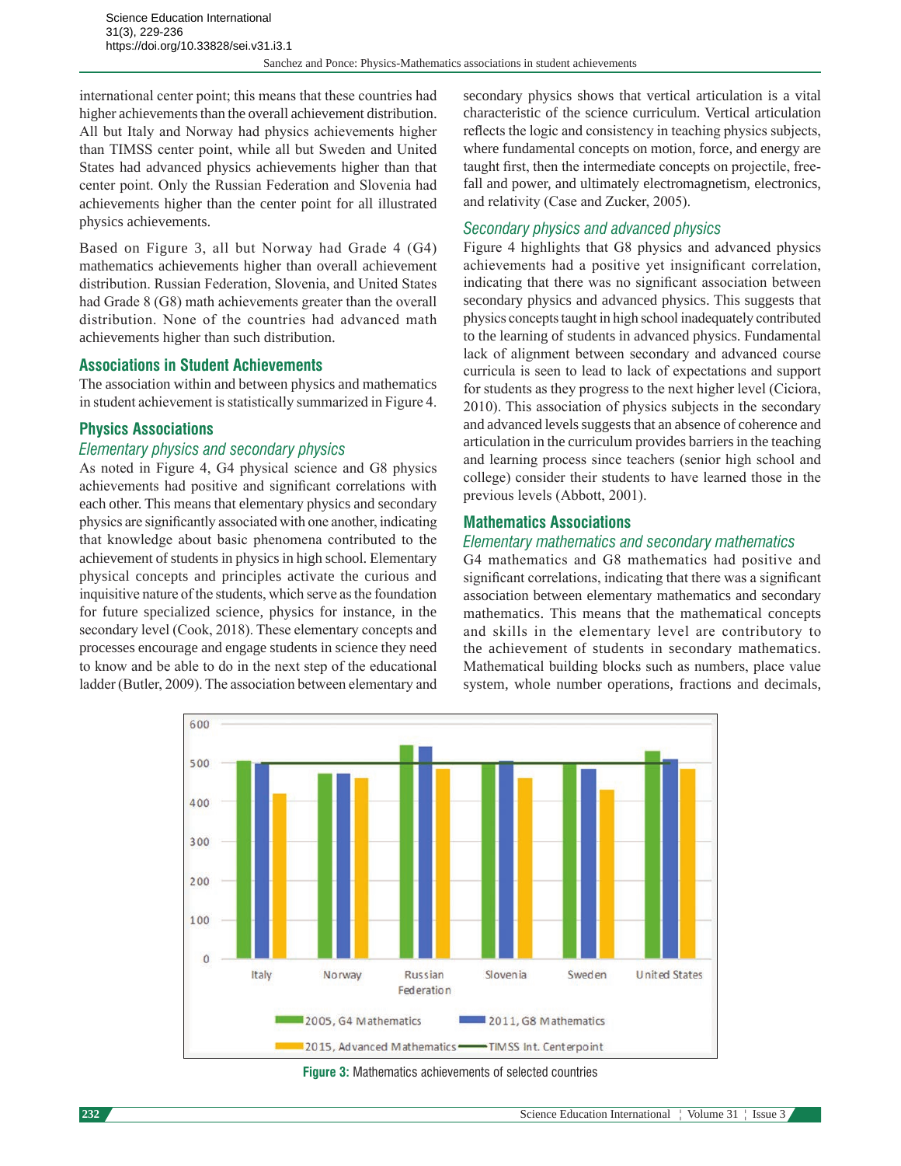international center point; this means that these countries had higher achievements than the overall achievement distribution. All but Italy and Norway had physics achievements higher than TIMSS center point, while all but Sweden and United States had advanced physics achievements higher than that center point. Only the Russian Federation and Slovenia had achievements higher than the center point for all illustrated physics achievements.

Based on Figure 3, all but Norway had Grade 4 (G4) mathematics achievements higher than overall achievement distribution. Russian Federation, Slovenia, and United States had Grade 8 (G8) math achievements greater than the overall distribution. None of the countries had advanced math achievements higher than such distribution.

#### **Associations in Student Achievements**

The association within and between physics and mathematics in student achievement is statistically summarized in Figure 4.

#### **Physics Associations**

#### *Elementary physics and secondary physics*

As noted in Figure 4, G4 physical science and G8 physics achievements had positive and significant correlations with each other. This means that elementary physics and secondary physics are significantly associated with one another, indicating that knowledge about basic phenomena contributed to the achievement of students in physics in high school. Elementary physical concepts and principles activate the curious and inquisitive nature of the students, which serve as the foundation for future specialized science, physics for instance, in the secondary level (Cook, 2018). These elementary concepts and processes encourage and engage students in science they need to know and be able to do in the next step of the educational ladder (Butler, 2009). The association between elementary and

secondary physics shows that vertical articulation is a vital characteristic of the science curriculum. Vertical articulation reflects the logic and consistency in teaching physics subjects, where fundamental concepts on motion, force, and energy are taught first, then the intermediate concepts on projectile, freefall and power, and ultimately electromagnetism, electronics, and relativity (Case and Zucker, 2005).

#### *Secondary physics and advanced physics*

Figure 4 highlights that G8 physics and advanced physics achievements had a positive yet insignificant correlation, indicating that there was no significant association between secondary physics and advanced physics. This suggests that physics concepts taught in high school inadequately contributed to the learning of students in advanced physics. Fundamental lack of alignment between secondary and advanced course curricula is seen to lead to lack of expectations and support for students as they progress to the next higher level (Ciciora, 2010). This association of physics subjects in the secondary and advanced levels suggests that an absence of coherence and articulation in the curriculum provides barriers in the teaching and learning process since teachers (senior high school and college) consider their students to have learned those in the previous levels (Abbott, 2001).

#### **Mathematics Associations**

#### *Elementary mathematics and secondary mathematics*

G4 mathematics and G8 mathematics had positive and significant correlations, indicating that there was a significant association between elementary mathematics and secondary mathematics. This means that the mathematical concepts and skills in the elementary level are contributory to the achievement of students in secondary mathematics. Mathematical building blocks such as numbers, place value system, whole number operations, fractions and decimals,



**Figure 3:** Mathematics achievements of selected countries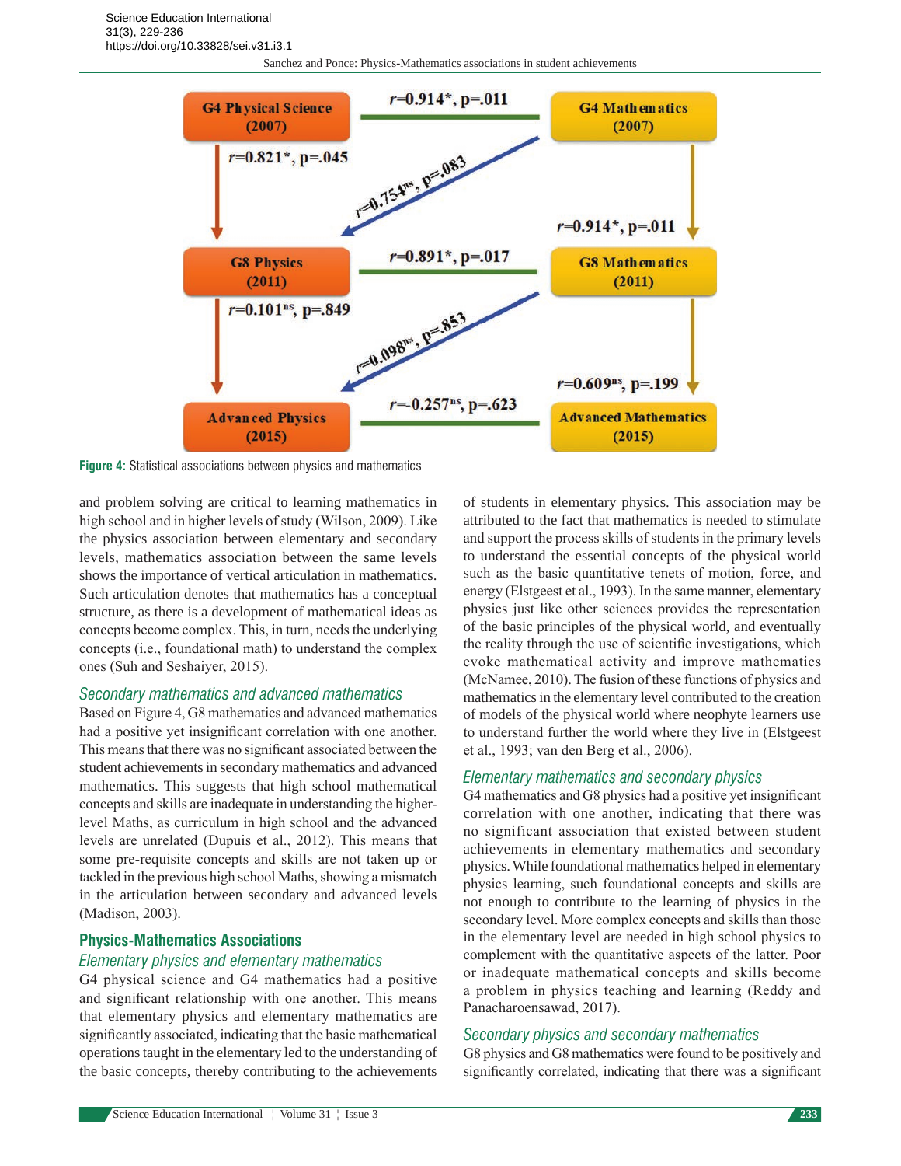Sanchez and Ponce: Physics-Mathematics associations in student achievements



**Figure 4:** Statistical associations between physics and mathematics

and problem solving are critical to learning mathematics in high school and in higher levels of study (Wilson, 2009). Like the physics association between elementary and secondary levels, mathematics association between the same levels shows the importance of vertical articulation in mathematics. Such articulation denotes that mathematics has a conceptual structure, as there is a development of mathematical ideas as concepts become complex. This, in turn, needs the underlying concepts (i.e., foundational math) to understand the complex ones (Suh and Seshaiyer, 2015).

#### *Secondary mathematics and advanced mathematics*

Based on Figure 4, G8 mathematics and advanced mathematics had a positive yet insignificant correlation with one another. This means that there was no significant associated between the student achievements in secondary mathematics and advanced mathematics. This suggests that high school mathematical concepts and skills are inadequate in understanding the higherlevel Maths, as curriculum in high school and the advanced levels are unrelated (Dupuis et al., 2012). This means that some pre-requisite concepts and skills are not taken up or tackled in the previous high school Maths, showing a mismatch in the articulation between secondary and advanced levels (Madison, 2003).

#### **Physics-Mathematics Associations**

#### *Elementary physics and elementary mathematics*

G4 physical science and G4 mathematics had a positive and significant relationship with one another. This means that elementary physics and elementary mathematics are significantly associated, indicating that the basic mathematical operations taught in the elementary led to the understanding of the basic concepts, thereby contributing to the achievements of students in elementary physics. This association may be attributed to the fact that mathematics is needed to stimulate and support the process skills of students in the primary levels to understand the essential concepts of the physical world such as the basic quantitative tenets of motion, force, and energy (Elstgeest et al., 1993). In the same manner, elementary physics just like other sciences provides the representation of the basic principles of the physical world, and eventually the reality through the use of scientific investigations, which evoke mathematical activity and improve mathematics (McNamee, 2010). The fusion of these functions of physics and mathematics in the elementary level contributed to the creation of models of the physical world where neophyte learners use to understand further the world where they live in (Elstgeest et al., 1993; van den Berg et al., 2006).

#### *Elementary mathematics and secondary physics*

G4 mathematics and G8 physics had a positive yet insignificant correlation with one another, indicating that there was no significant association that existed between student achievements in elementary mathematics and secondary physics. While foundational mathematics helped in elementary physics learning, such foundational concepts and skills are not enough to contribute to the learning of physics in the secondary level. More complex concepts and skills than those in the elementary level are needed in high school physics to complement with the quantitative aspects of the latter. Poor or inadequate mathematical concepts and skills become a problem in physics teaching and learning (Reddy and Panacharoensawad, 2017).

#### *Secondary physics and secondary mathematics*

G8 physics and G8 mathematics were found to be positively and significantly correlated, indicating that there was a significant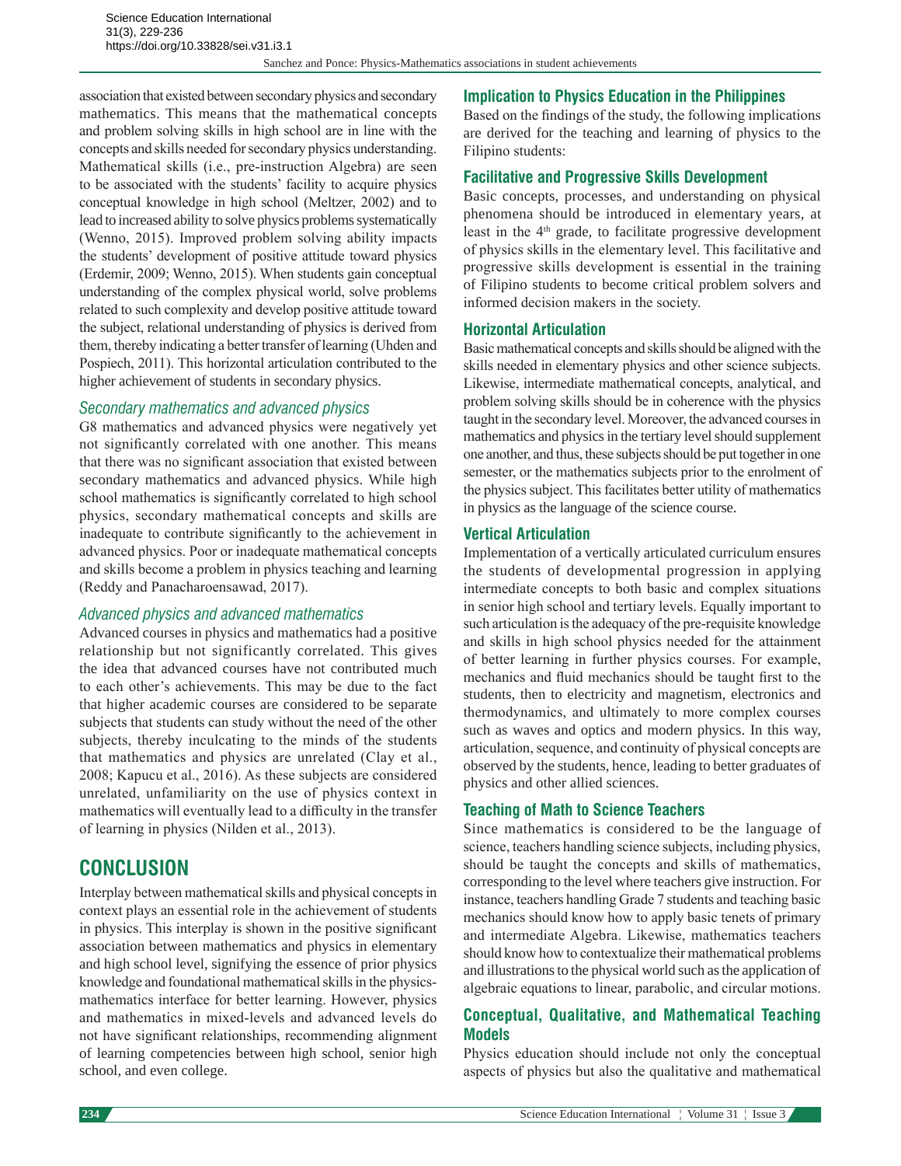Sanchez and Ponce: Physics-Mathematics associations in student achievements

association that existed between secondary physics and secondary mathematics. This means that the mathematical concepts and problem solving skills in high school are in line with the concepts and skills needed for secondary physics understanding. Mathematical skills (i.e., pre-instruction Algebra) are seen to be associated with the students' facility to acquire physics conceptual knowledge in high school (Meltzer, 2002) and to lead to increased ability to solve physics problems systematically (Wenno, 2015). Improved problem solving ability impacts the students' development of positive attitude toward physics (Erdemir, 2009; Wenno, 2015). When students gain conceptual understanding of the complex physical world, solve problems related to such complexity and develop positive attitude toward the subject, relational understanding of physics is derived from them, thereby indicating a better transfer of learning (Uhden and Pospiech, 2011). This horizontal articulation contributed to the higher achievement of students in secondary physics.

#### *Secondary mathematics and advanced physics*

G8 mathematics and advanced physics were negatively yet not significantly correlated with one another. This means that there was no significant association that existed between secondary mathematics and advanced physics. While high school mathematics is significantly correlated to high school physics, secondary mathematical concepts and skills are inadequate to contribute significantly to the achievement in advanced physics. Poor or inadequate mathematical concepts and skills become a problem in physics teaching and learning (Reddy and Panacharoensawad, 2017).

#### *Advanced physics and advanced mathematics*

Advanced courses in physics and mathematics had a positive relationship but not significantly correlated. This gives the idea that advanced courses have not contributed much to each other's achievements. This may be due to the fact that higher academic courses are considered to be separate subjects that students can study without the need of the other subjects, thereby inculcating to the minds of the students that mathematics and physics are unrelated (Clay et al., 2008; Kapucu et al., 2016). As these subjects are considered unrelated, unfamiliarity on the use of physics context in mathematics will eventually lead to a difficulty in the transfer of learning in physics (Nilden et al., 2013).

# **CONCLUSION**

Interplay between mathematical skills and physical concepts in context plays an essential role in the achievement of students in physics. This interplay is shown in the positive significant association between mathematics and physics in elementary and high school level, signifying the essence of prior physics knowledge and foundational mathematical skills in the physicsmathematics interface for better learning. However, physics and mathematics in mixed-levels and advanced levels do not have significant relationships, recommending alignment of learning competencies between high school, senior high school, and even college.

#### **Implication to Physics Education in the Philippines**

Based on the findings of the study, the following implications are derived for the teaching and learning of physics to the Filipino students:

#### **Facilitative and Progressive Skills Development**

Basic concepts, processes, and understanding on physical phenomena should be introduced in elementary years, at least in the 4th grade, to facilitate progressive development of physics skills in the elementary level. This facilitative and progressive skills development is essential in the training of Filipino students to become critical problem solvers and informed decision makers in the society.

#### **Horizontal Articulation**

Basic mathematical concepts and skills should be aligned with the skills needed in elementary physics and other science subjects. Likewise, intermediate mathematical concepts, analytical, and problem solving skills should be in coherence with the physics taught in the secondary level. Moreover, the advanced courses in mathematics and physics in the tertiary level should supplement one another, and thus, these subjects should be put together in one semester, or the mathematics subjects prior to the enrolment of the physics subject. This facilitates better utility of mathematics in physics as the language of the science course.

#### **Vertical Articulation**

Implementation of a vertically articulated curriculum ensures the students of developmental progression in applying intermediate concepts to both basic and complex situations in senior high school and tertiary levels. Equally important to such articulation is the adequacy of the pre-requisite knowledge and skills in high school physics needed for the attainment of better learning in further physics courses. For example, mechanics and fluid mechanics should be taught first to the students, then to electricity and magnetism, electronics and thermodynamics, and ultimately to more complex courses such as waves and optics and modern physics. In this way, articulation, sequence, and continuity of physical concepts are observed by the students, hence, leading to better graduates of physics and other allied sciences.

#### **Teaching of Math to Science Teachers**

Since mathematics is considered to be the language of science, teachers handling science subjects, including physics, should be taught the concepts and skills of mathematics, corresponding to the level where teachers give instruction. For instance, teachers handling Grade 7 students and teaching basic mechanics should know how to apply basic tenets of primary and intermediate Algebra. Likewise, mathematics teachers should know how to contextualize their mathematical problems and illustrations to the physical world such as the application of algebraic equations to linear, parabolic, and circular motions.

#### **Conceptual, Qualitative, and Mathematical Teaching Models**

Physics education should include not only the conceptual aspects of physics but also the qualitative and mathematical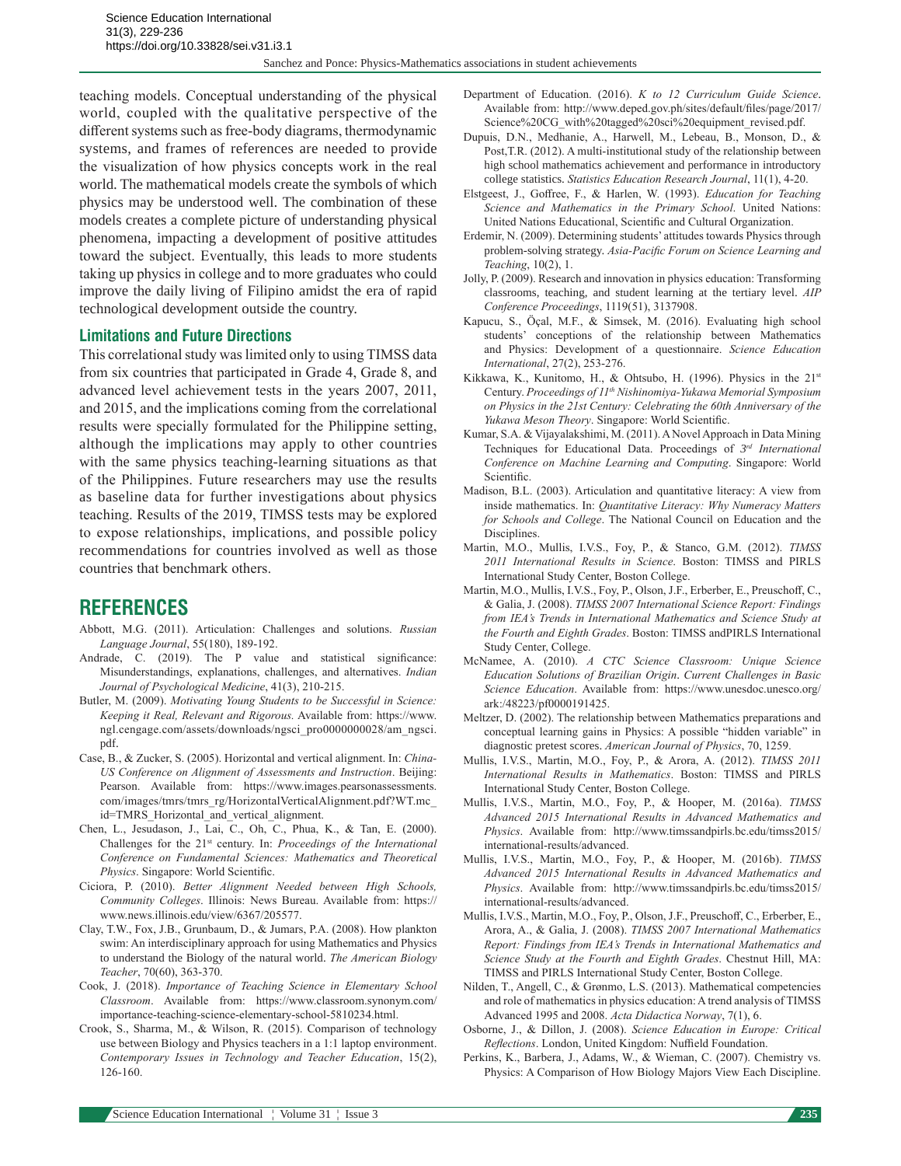teaching models. Conceptual understanding of the physical world, coupled with the qualitative perspective of the different systems such as free-body diagrams, thermodynamic systems, and frames of references are needed to provide the visualization of how physics concepts work in the real world. The mathematical models create the symbols of which physics may be understood well. The combination of these models creates a complete picture of understanding physical phenomena, impacting a development of positive attitudes toward the subject. Eventually, this leads to more students taking up physics in college and to more graduates who could improve the daily living of Filipino amidst the era of rapid technological development outside the country.

#### **Limitations and Future Directions**

This correlational study was limited only to using TIMSS data from six countries that participated in Grade 4, Grade 8, and advanced level achievement tests in the years 2007, 2011, and 2015, and the implications coming from the correlational results were specially formulated for the Philippine setting, although the implications may apply to other countries with the same physics teaching-learning situations as that of the Philippines. Future researchers may use the results as baseline data for further investigations about physics teaching. Results of the 2019, TIMSS tests may be explored to expose relationships, implications, and possible policy recommendations for countries involved as well as those countries that benchmark others.

## **REFERENCES**

- Abbott, M.G. (2011). Articulation: Challenges and solutions. *Russian Language Journal*, 55(180), 189-192.
- Andrade, C. (2019). The P value and statistical significance: Misunderstandings, explanations, challenges, and alternatives. *Indian Journal of Psychological Medicine*, 41(3), 210-215.
- Butler, M. (2009). *Motivating Young Students to be Successful in Science: Keeping it Real, Relevant and Rigorous.* Available from: https://www. ngl.cengage.com/assets/downloads/ngsci\_pro0000000028/am\_ngsci. pdf.
- Case, B., & Zucker, S. (2005). Horizontal and vertical alignment. In: *China-US Conference on Alignment of Assessments and Instruction*. Beijing: Pearson. Available from: https://www.images.pearsonassessments. com/images/tmrs/tmrs\_rg/HorizontalVerticalAlignment.pdf?WT.mc\_ id=TMRS\_Horizontal\_and\_vertical\_alignment.
- Chen, L., Jesudason, J., Lai, C., Oh, C., Phua, K., & Tan, E. (2000). Challenges for the 21<sup>st</sup> century. In: *Proceedings of the International Conference on Fundamental Sciences: Mathematics and Theoretical Physics*. Singapore: World Scientific.
- Ciciora, P. (2010). *Better Alignment Needed between High Schools, Community Colleges*. Illinois: News Bureau. Available from: https:// www.news.illinois.edu/view/6367/205577.
- Clay, T.W., Fox, J.B., Grunbaum, D., & Jumars, P.A. (2008). How plankton swim: An interdisciplinary approach for using Mathematics and Physics to understand the Biology of the natural world. *The American Biology Teacher*, 70(60), 363-370.
- Cook, J. (2018). *Importance of Teaching Science in Elementary School Classroom*. Available from: https://www.classroom.synonym.com/ importance-teaching-science-elementary-school-5810234.html.
- Crook, S., Sharma, M., & Wilson, R. (2015). Comparison of technology use between Biology and Physics teachers in a 1:1 laptop environment. *Contemporary Issues in Technology and Teacher Education*, 15(2), 126-160.
- Department of Education. (2016). *K to 12 Curriculum Guide Science*. Available from: http://www.deped.gov.ph/sites/default/files/page/2017/ Science%20CG\_with%20tagged%20sci%20equipment\_revised.pdf.
- Dupuis, D.N., Medhanie, A., Harwell, M., Lebeau, B., Monson, D., & Post,T.R. (2012). A multi-institutional study of the relationship between high school mathematics achievement and performance in introductory college statistics. *Statistics Education Research Journal*, 11(1), 4-20.
- Elstgeest, J., Goffree, F., & Harlen, W. (1993). *Education for Teaching Science and Mathematics in the Primary School*. United Nations: United Nations Educational, Scientific and Cultural Organization.
- Erdemir, N. (2009). Determining students' attitudes towards Physics through problem-solving strategy. *Asia-Pacific Forum on Science Learning and Teaching*, 10(2), 1.
- Jolly, P. (2009). Research and innovation in physics education: Transforming classrooms, teaching, and student learning at the tertiary level. *AIP Conference Proceedings*, 1119(51), 3137908.
- Kapucu, S., Öçal, M.F., & Simsek, M. (2016). Evaluating high school students' conceptions of the relationship between Mathematics and Physics: Development of a questionnaire. *Science Education International*, 27(2), 253-276.
- Kikkawa, K., Kunitomo, H., & Ohtsubo, H. (1996). Physics in the 21st Century. *Proceedings of 11th Nishinomiya-Yukawa Memorial Symposium on Physics in the 21st Century: Celebrating the 60th Anniversary of the Yukawa Meson Theory*. Singapore: World Scientific.
- Kumar, S.A. & Vijayalakshimi, M. (2011). A Novel Approach in Data Mining Techniques for Educational Data. Proceedings of *3rd International Conference on Machine Learning and Computing*. Singapore: World Scientific.
- Madison, B.L. (2003). Articulation and quantitative literacy: A view from inside mathematics. In: *Quantitative Literacy: Why Numeracy Matters for Schools and College*. The National Council on Education and the Disciplines.
- Martin, M.O., Mullis, I.V.S., Foy, P., & Stanco, G.M. (2012). *TIMSS 2011 International Results in Science*. Boston: TIMSS and PIRLS International Study Center, Boston College.
- Martin, M.O., Mullis, I.V.S., Foy, P., Olson, J.F., Erberber, E., Preuschoff, C., & Galia, J. (2008). *TIMSS 2007 International Science Report: Findings from IEA's Trends in International Mathematics and Science Study at the Fourth and Eighth Grades*. Boston: TIMSS andPIRLS International Study Center, College.
- McNamee, A. (2010). *A CTC Science Classroom: Unique Science Education Solutions of Brazilian Origin*. *Current Challenges in Basic Science Education*. Available from: https://www.unesdoc.unesco.org/ ark:/48223/pf0000191425.
- Meltzer, D. (2002). The relationship between Mathematics preparations and conceptual learning gains in Physics: A possible "hidden variable" in diagnostic pretest scores. *American Journal of Physics*, 70, 1259.
- Mullis, I.V.S., Martin, M.O., Foy, P., & Arora, A. (2012). *TIMSS 2011 International Results in Mathematics*. Boston: TIMSS and PIRLS International Study Center, Boston College.
- Mullis, I.V.S., Martin, M.O., Foy, P., & Hooper, M. (2016a). *TIMSS Advanced 2015 International Results in Advanced Mathematics and Physics*. Available from: http://www.timssandpirls.bc.edu/timss2015/ international-results/advanced.
- Mullis, I.V.S., Martin, M.O., Foy, P., & Hooper, M. (2016b). *TIMSS Advanced 2015 International Results in Advanced Mathematics and Physics*. Available from: http://www.timssandpirls.bc.edu/timss2015/ international-results/advanced.
- Mullis, I.V.S., Martin, M.O., Foy, P., Olson, J.F., Preuschoff, C., Erberber, E., Arora, A., & Galia, J. (2008). *TIMSS 2007 International Mathematics Report: Findings from IEA's Trends in International Mathematics and Science Study at the Fourth and Eighth Grades*. Chestnut Hill, MA: TIMSS and PIRLS International Study Center, Boston College.
- Nilden, T., Angell, C., & Grønmo, L.S. (2013). Mathematical competencies and role of mathematics in physics education: A trend analysis of TIMSS Advanced 1995 and 2008. *Acta Didactica Norway*, 7(1), 6.
- Osborne, J., & Dillon, J. (2008). *Science Education in Europe: Critical Reflections*. London, United Kingdom: Nuffield Foundation.
- Perkins, K., Barbera, J., Adams, W., & Wieman, C. (2007). Chemistry vs. Physics: A Comparison of How Biology Majors View Each Discipline.